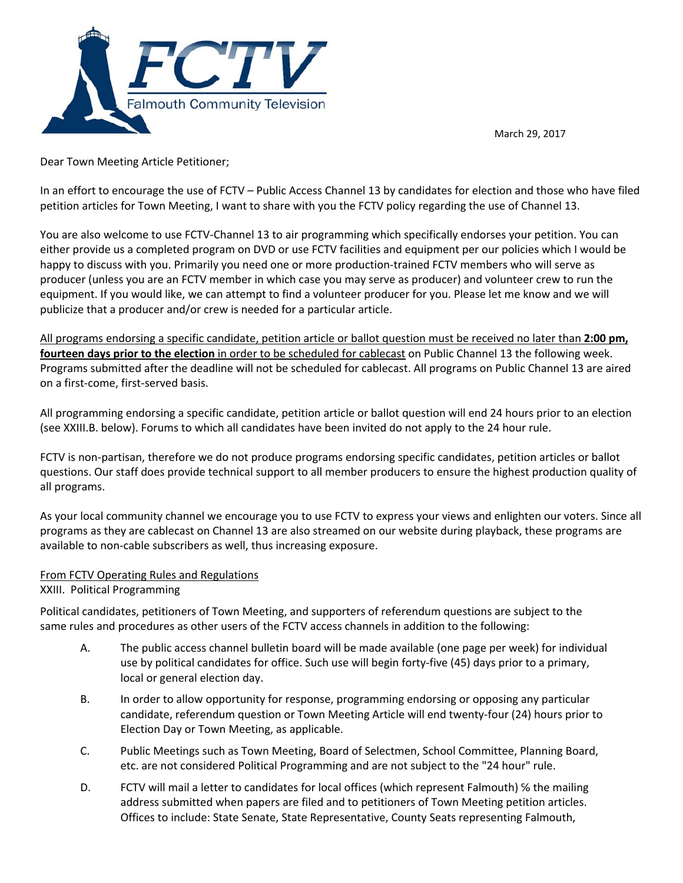

March 29, 2017

Dear Town Meeting Article Petitioner;

In an effort to encourage the use of FCTV – Public Access Channel 13 by candidates for election and those who have filed petition articles for Town Meeting, I want to share with you the FCTV policy regarding the use of Channel 13.

You are also welcome to use FCTV‐Channel 13 to air programming which specifically endorses your petition. You can either provide us a completed program on DVD or use FCTV facilities and equipment per our policies which I would be happy to discuss with you. Primarily you need one or more production-trained FCTV members who will serve as producer (unless you are an FCTV member in which case you may serve as producer) and volunteer crew to run the equipment. If you would like, we can attempt to find a volunteer producer for you. Please let me know and we will publicize that a producer and/or crew is needed for a particular article.

All programs endorsing a specific candidate, petition article or ballot question must be received no later than **2:00 pm, fourteen days prior to the election** in order to be scheduled for cablecast on Public Channel 13 the following week. Programs submitted after the deadline will not be scheduled for cablecast. All programs on Public Channel 13 are aired on a first‐come, first‐served basis.

All programming endorsing a specific candidate, petition article or ballot question will end 24 hours prior to an election (see XXIII.B. below). Forums to which all candidates have been invited do not apply to the 24 hour rule.

FCTV is non-partisan, therefore we do not produce programs endorsing specific candidates, petition articles or ballot questions. Our staff does provide technical support to all member producers to ensure the highest production quality of all programs.

As your local community channel we encourage you to use FCTV to express your views and enlighten our voters. Since all programs as they are cablecast on Channel 13 are also streamed on our website during playback, these programs are available to non‐cable subscribers as well, thus increasing exposure.

## From FCTV Operating Rules and Regulations

XXIII. Political Programming

Political candidates, petitioners of Town Meeting, and supporters of referendum questions are subject to the same rules and procedures as other users of the FCTV access channels in addition to the following:

- A. The public access channel bulletin board will be made available (one page per week) for individual use by political candidates for office. Such use will begin forty‐five (45) days prior to a primary, local or general election day.
- B. In order to allow opportunity for response, programming endorsing or opposing any particular candidate, referendum question or Town Meeting Article will end twenty‐four (24) hours prior to Election Day or Town Meeting, as applicable.
- C. Public Meetings such as Town Meeting, Board of Selectmen, School Committee, Planning Board, etc. are not considered Political Programming and are not subject to the "24 hour" rule.
- D. FCTV will mail a letter to candidates for local offices (which represent Falmouth) ℅ the mailing address submitted when papers are filed and to petitioners of Town Meeting petition articles. Offices to include: State Senate, State Representative, County Seats representing Falmouth,